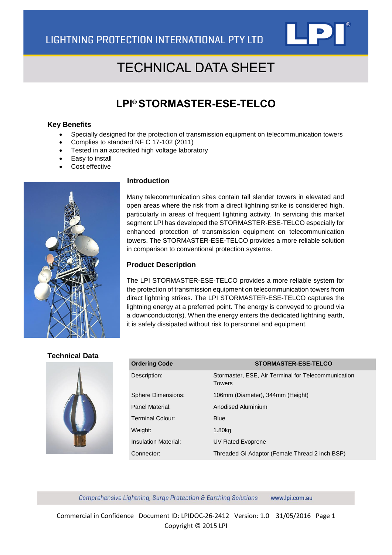

# TECHNICAL DATA SHEET

### **LPI® STORMASTER-ESE-TELCO**

#### **Key Benefits**

- Specially designed for the protection of transmission equipment on telecommunication towers
- Complies to standard NF C 17-102 (2011)
- Tested in an accredited high voltage laboratory
- Easy to install
- Cost effective



#### **Introduction**

Many telecommunication sites contain tall slender towers in elevated and open areas where the risk from a direct lightning strike is considered high, particularly in areas of frequent lightning activity. In servicing this market segment LPI has developed the STORMASTER-ESE-TELCO especially for enhanced protection of transmission equipment on telecommunication towers. The STORMASTER-ESE-TELCO provides a more reliable solution in comparison to conventional protection systems.

#### **Product Description**

The LPI STORMASTER-ESE-TELCO provides a more reliable system for the protection of transmission equipment on telecommunication towers from direct lightning strikes. The LPI STORMASTER-ESE-TELCO captures the lightning energy at a preferred point. The energy is conveyed to ground via a downconductor(s). When the energy enters the dedicated lightning earth, it is safely dissipated without risk to personnel and equipment.

#### **Technical Data**



| <b>Ordering Code</b>      | <b>STORMASTER-ESE-TELCO</b>                                          |
|---------------------------|----------------------------------------------------------------------|
| Description:              | Stormaster, ESE, Air Terminal for Telecommunication<br><b>Towers</b> |
| <b>Sphere Dimensions:</b> | 106mm (Diameter), 344mm (Height)                                     |
| Panel Material:           | <b>Anodised Aluminium</b>                                            |
| Terminal Colour:          | <b>Blue</b>                                                          |
| Weight:                   | 1.80 <sub>kg</sub>                                                   |
| Insulation Material:      | UV Rated Evoprene                                                    |
| Connector:                | Threaded GI Adaptor (Female Thread 2 inch BSP)                       |

Comprehensive Lightning, Surge Protection & Earthing Solutions www.lpi.com.au

Commercial in Confidence Document ID: LPIDOC-26-2412 Version: 1.0 31/05/2016 Page 1 Copyright © 2015 LPI